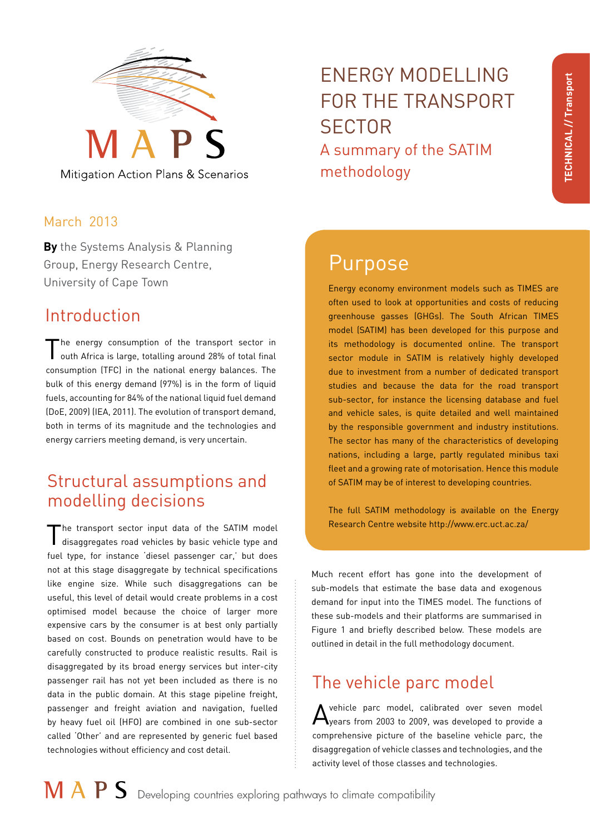

Mitigation Action Plans & Scenarios

#### March 2013

**By** the Systems Analysis & Planning Group, Energy Research Centre, University of Cape Town Energy economy environment models such as TIMES are

## Introduction

The energy consumption of the transport sector in outh Africa is large, totalling around 28% of total final consumption (TFC) in the national energy balances. The bulk of this energy demand (97%) is in the form of liquid fuels, accounting for 84% of the national liquid fuel demand (DoE, 2009) (IEA, 2011). The evolution of transport demand, both in terms of its magnitude and the technologies and energy carriers meeting demand, is very uncertain.

# Structural assumptions and modelling decisions

The transport sector input data of the SATIM model<br>disaggregates road vehicles by basic vehicle type and fuel type, for instance 'diesel passenger car,' but does not at this stage disaggregate by technical specifications like engine size. While such disaggregations can be useful, this level of detail would create problems in a cost optimised model because the choice of larger more expensive cars by the consumer is at best only partially based on cost. Bounds on penetration would have to be carefully constructed to produce realistic results. Rail is disaggregated by its broad energy services but inter-city passenger rail has not yet been included as there is no data in the public domain. At this stage pipeline freight, passenger and freight aviation and navigation, fuelled by heavy fuel oil (HFO) are combined in one sub-sector called 'Other' and are represented by generic fuel based technologies without efficiency and cost detail.

# ENERGY MODELLING FOR THE TRANSPORT **SECTOR** A summary of the SATIM methodology

# Purpose

often used to look at opportunities and costs of reducing greenhouse gasses (GHGs). The South African TIMES model (SATIM) has been developed for this purpose and its methodology is documented online. The transport sector module in SATIM is relatively highly developed due to investment from a number of dedicated transport studies and because the data for the road transport sub-sector, for instance the licensing database and fuel and vehicle sales, is quite detailed and well maintained by the responsible government and industry institutions. The sector has many of the characteristics of developing nations, including a large, partly regulated minibus taxi fleet and a growing rate of motorisation. Hence this module of SATIM may be of interest to developing countries.

The full SATIM methodology is available on the Energy Research Centre website [http://www.erc.uct.ac.za/]( http://www.erc.uct.ac.za/ )

Much recent effort has gone into the development of sub-models that estimate the base data and exogenous demand for input into the TIMES model. The functions of these sub-models and their platforms are summarised in Figure 1 and briefly described below. These models are outlined in detail in the full methodology document.

# The vehicle parc model

A vehicle parc model, calibrated over seven model<br>A years from 2003 to 2009, was developed to provide a comprehensive picture of the baseline vehicle parc, the disaggregation of vehicle classes and technologies, and the activity level of those classes and technologies.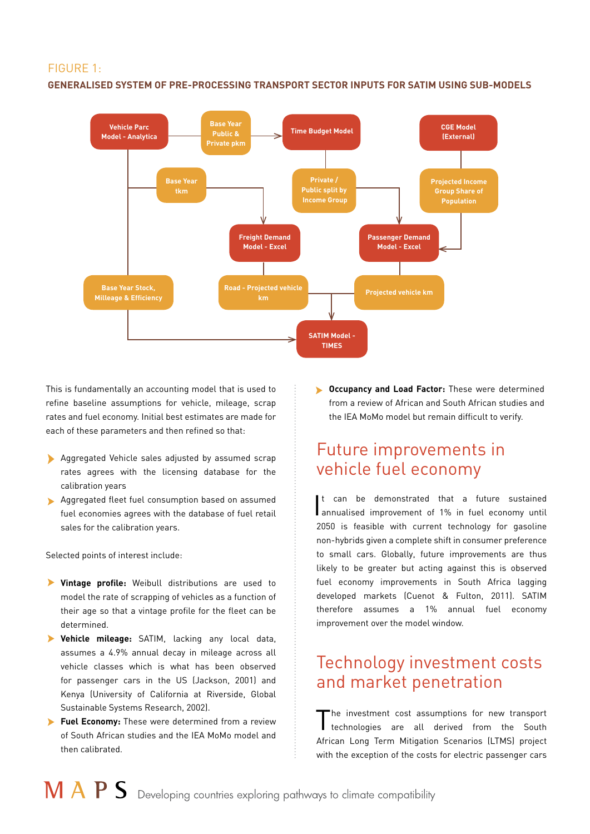#### FIGURE 1:

#### **GENERALISED SYSTEM OF PRE-PROCESSING TRANSPORT SECTOR INPUTS FOR SATIM USING SUB-MODELS**



This is fundamentally an accounting model that is used to refine baseline assumptions for vehicle, mileage, scrap rates and fuel economy. Initial best estimates are made for each of these parameters and then refined so that:

- Aggregated Vehicle sales adjusted by assumed scrap rates agrees with the licensing database for the calibration years
- Aggregated fleet fuel consumption based on assumed fuel economies agrees with the database of fuel retail sales for the calibration years.

Selected points of interest include:

- **Vintage profile:** Weibull distributions are used to model the rate of scrapping of vehicles as a function of their age so that a vintage profile for the fleet can be determined.
- **Vehicle mileage:** SATIM, lacking any local data, assumes a 4.9% annual decay in mileage across all vehicle classes which is what has been observed for passenger cars in the US (Jackson, 2001) and Kenya (University of California at Riverside, Global Sustainable Systems Research, 2002).
- **Fuel Economy:** These were determined from a review of South African studies and the IEA MoMo model and then calibrated.

**Cccupancy and Load Factor:** These were determined from a review of African and South African studies and the IEA MoMo model but remain difficult to verify.

#### Future improvements in vehicle fuel economy

I annualised improvement of 1% in fuel economy until t can be demonstrated that a future sustained 2050 is feasible with current technology for gasoline non-hybrids given a complete shift in consumer preference to small cars. Globally, future improvements are thus likely to be greater but acting against this is observed fuel economy improvements in South Africa lagging developed markets (Cuenot & Fulton, 2011). SATIM therefore assumes a 1% annual fuel economy improvement over the model window.

### Technology investment costs and market penetration

The investment cost assumptions for new transport technologies are all derived from the South African Long Term Mitigation Scenarios (LTMS) project with the exception of the costs for electric passenger cars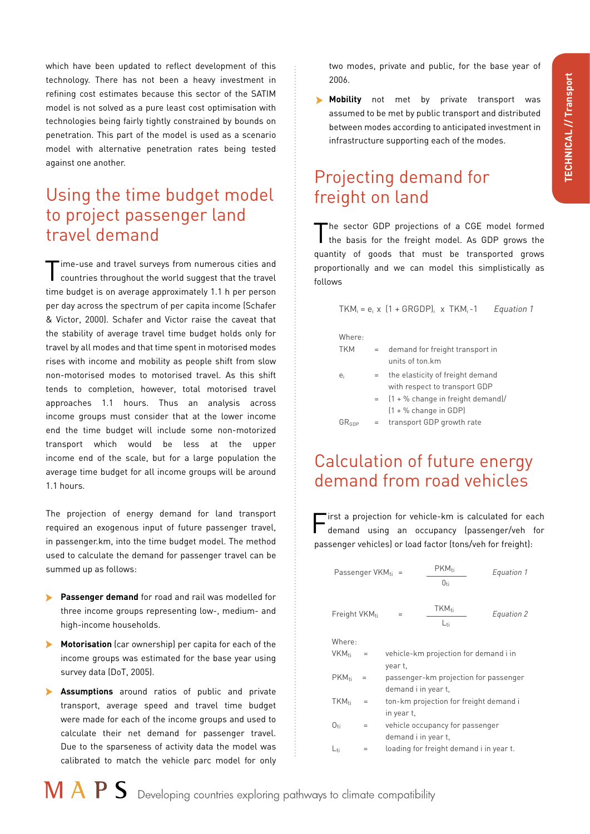which have been updated to reflect development of this technology. There has not been a heavy investment in refining cost estimates because this sector of the SATIM model is not solved as a pure least cost optimisation with technologies being fairly tightly constrained by bounds on penetration. This part of the model is used as a scenario model with alternative penetration rates being tested against one another.

## Using the time budget model to project passenger land travel demand

Time-use and travel surveys from numerous cities and countries throughout the world suggest that the travel time budget is on average approximately 1.1 h per person per day across the spectrum of per capita income (Schafer & Victor, 2000). Schafer and Victor raise the caveat that the stability of average travel time budget holds only for travel by all modes and that time spent in motorised modes rises with income and mobility as people shift from slow non-motorised modes to motorised travel. As this shift tends to completion, however, total motorised travel approaches 1.1 hours. Thus an analysis across income groups must consider that at the lower income end the time budget will include some non-motorized transport which would be less at the upper income end of the scale, but for a large population the average time budget for all income groups will be around 1.1 hours.

The projection of energy demand for land transport required an exogenous input of future passenger travel, in passenger.km, into the time budget model. The method used to calculate the demand for passenger travel can be summed up as follows:

- $\blacktriangleright$ **Passenger demand** for road and rail was modelled for three income groups representing low-, medium- and high-income households.
- $\blacktriangleright$ **Motorisation** (car ownership) per capita for each of the income groups was estimated for the base year using survey data (DoT, 2005).
- **Assumptions** around ratios of public and private transport, average speed and travel time budget were made for each of the income groups and used to calculate their net demand for passenger travel. Due to the sparseness of activity data the model was calibrated to match the vehicle parc model for only

two modes, private and public, for the base year of 2006.

**Mobility** not met by private transport was assumed to be met by public transport and distributed between modes according to anticipated investment in infrastructure supporting each of the modes.

# Projecting demand for freight on land

The sector GDP projections of a CGE model formed the basis for the freight model. As GDP grows the quantity of goods that must be transported grows proportionally and we can model this simplistically as follows

$$
TKM_i = e_i \times \{1 + GRGDP\}_i \times TKM_i - 1
$$
 *Equation 1*

| vnere<br>v |  |
|------------|--|
|            |  |

| <b>TKM</b> | $=$ | demand for freight transport in        |
|------------|-----|----------------------------------------|
|            |     | units of ton.km                        |
| e          | $=$ | the elasticity of freight demand       |
|            |     | with respect to transport GDP          |
|            |     | $=$ $(1 + %$ change in freight demand) |

|            |     | $=$ $(1 + %c$ change in freight demand)/ |
|------------|-----|------------------------------------------|
|            |     |                                          |
| $GR_{GDP}$ | $=$ | transport GDP growth rate                |

### Calculation of future energy demand from road vehicles

First a projection for vehicle-km is calculated for each demand using an occupancy (passenger/veh for passenger vehicles) or load factor (tons/veh for freight):

| Passenger $VKM_{ti}$ =    |     |            | $PKM_{ti}$<br>$0_{\rm{ti}}$             | Equation 1 |
|---------------------------|-----|------------|-----------------------------------------|------------|
| Freight VKM <sub>ti</sub> |     | $=$        | <b>TKM</b> ti<br>L <sub>ti</sub>        | Equation 2 |
| Where.                    |     |            |                                         |            |
| VKM <sub>ti</sub>         | $=$ |            | vehicle-km projection for demand i in   |            |
|                           |     | year t.    |                                         |            |
| PKM <sub>ti</sub>         | $=$ |            | passenger-km projection for passenger   |            |
|                           |     |            | demand i in year t,                     |            |
| TKM <sub>ti</sub>         | $=$ |            | ton-km projection for freight demand i  |            |
|                           |     | in year t, |                                         |            |
| $O_{\text{t}i}$           | $=$ |            | vehicle occupancy for passenger         |            |
|                           |     |            | demand i in year t,                     |            |
| L <sub>ti</sub>           | =   |            | loading for freight demand i in year t. |            |
|                           |     |            |                                         |            |